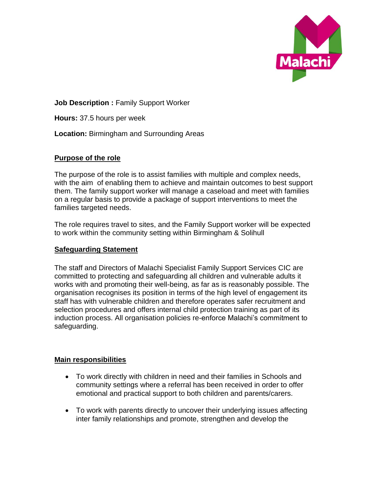

**Job Description : Family Support Worker** 

**Hours:** 37.5 hours per week

**Location:** Birmingham and Surrounding Areas

## **Purpose of the role**

The purpose of the role is to assist families with multiple and complex needs, with the aim of enabling them to achieve and maintain outcomes to best support them. The family support worker will manage a caseload and meet with families on a regular basis to provide a package of support interventions to meet the families targeted needs.

The role requires travel to sites, and the Family Support worker will be expected to work within the community setting within Birmingham & Solihull

## **Safeguarding Statement**

The staff and Directors of Malachi Specialist Family Support Services CIC are committed to protecting and safeguarding all children and vulnerable adults it works with and promoting their well-being, as far as is reasonably possible. The organisation recognises its position in terms of the high level of engagement its staff has with vulnerable children and therefore operates safer recruitment and selection procedures and offers internal child protection training as part of its induction process. All organisation policies re-enforce Malachi's commitment to safeguarding.

## **Main responsibilities**

- To work directly with children in need and their families in Schools and community settings where a referral has been received in order to offer emotional and practical support to both children and parents/carers.
- To work with parents directly to uncover their underlying issues affecting inter family relationships and promote, strengthen and develop the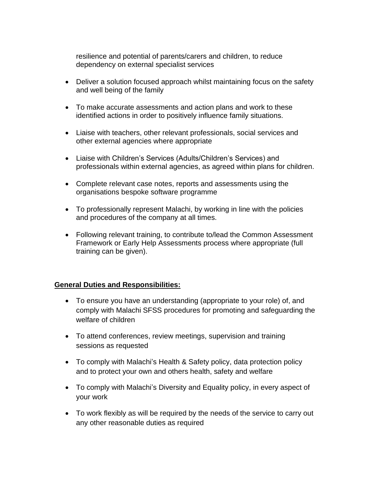resilience and potential of parents/carers and children, to reduce dependency on external specialist services

- Deliver a solution focused approach whilst maintaining focus on the safety and well being of the family
- To make accurate assessments and action plans and work to these identified actions in order to positively influence family situations.
- Liaise with teachers, other relevant professionals, social services and other external agencies where appropriate
- Liaise with Children's Services (Adults/Children's Services) and professionals within external agencies, as agreed within plans for children.
- Complete relevant case notes, reports and assessments using the organisations bespoke software programme
- To professionally represent Malachi, by working in line with the policies and procedures of the company at all times.
- Following relevant training, to contribute to/lead the Common Assessment Framework or Early Help Assessments process where appropriate (full training can be given).

## **General Duties and Responsibilities:**

- To ensure you have an understanding (appropriate to your role) of, and comply with Malachi SFSS procedures for promoting and safeguarding the welfare of children
- To attend conferences, review meetings, supervision and training sessions as requested
- To comply with Malachi's Health & Safety policy, data protection policy and to protect your own and others health, safety and welfare
- To comply with Malachi's Diversity and Equality policy, in every aspect of your work
- To work flexibly as will be required by the needs of the service to carry out any other reasonable duties as required